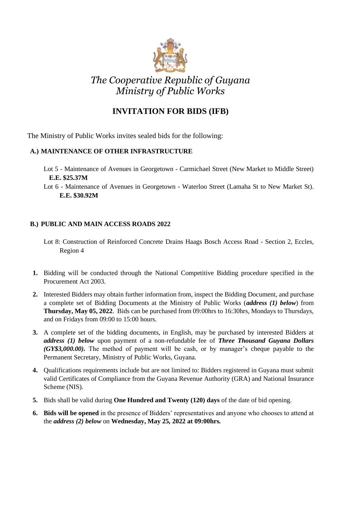

## *The Cooperative Republic of Guyana Ministry of Public Works*

## **INVITATION FOR BIDS (IFB)**

The Ministry of Public Works invites sealed bids for the following:

## **A.) MAINTENANCE OF OTHER INFRASTRUCTURE**

- Lot 5 Maintenance of Avenues in Georgetown Carmichael Street (New Market to Middle Street) **E.E. \$25.37M**
- Lot 6 Maintenance of Avenues in Georgetown Waterloo Street (Lamaha St to New Market St). **E.E. \$30.92M**

## **B.) PUBLIC AND MAIN ACCESS ROADS 2022**

- Lot 8: Construction of Reinforced Concrete Drains Haags Bosch Access Road Section 2, Eccles, Region 4
- **1.** Bidding will be conducted through the National Competitive Bidding procedure specified in the Procurement Act 2003.
- **2.** Interested Bidders may obtain further information from, inspect the Bidding Document, and purchase a complete set of Bidding Documents at the Ministry of Public Works (*address (1) below*) from **Thursday, May 05, 2022**. Bids can be purchased from 09:00hrs to 16:30hrs, Mondays to Thursdays, and on Fridays from 09:00 to 15:00 hours.
- **3.** A complete set of the bidding documents, in English, may be purchased by interested Bidders at *address (1) below* upon payment of a non-refundable fee of *Three Thousand Guyana Dollars (GY\$3,000.00).* The method of payment will be cash, or by manager's cheque payable to the Permanent Secretary, Ministry of Public Works, Guyana.
- **4.** Qualifications requirements include but are not limited to: Bidders registered in Guyana must submit valid Certificates of Compliance from the Guyana Revenue Authority (GRA) and National Insurance Scheme (NIS).
- **5.** Bids shall be valid during **One Hundred and Twenty (120) days** of the date of bid opening.
- **6. Bids will be opened** in the presence of Bidders' representatives and anyone who chooses to attend at the *address (2) below* on **Wednesday, May 25***,* **2022 at 09:00hrs***.*